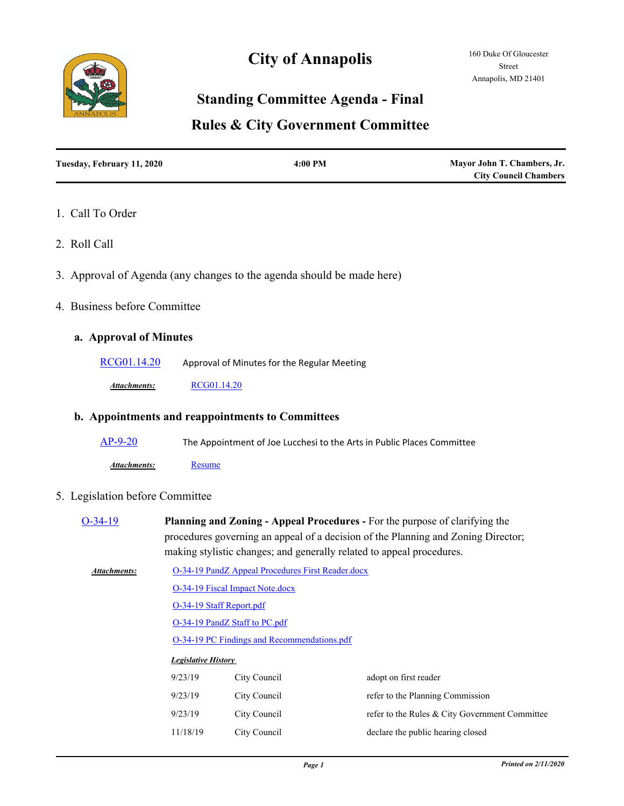

# **City of Annapolis**

## **Standing Committee Agenda - Final**

## **Rules & City Government Committee**

| Tuesday, February 11, 2020 | $4:00$ PM | Mayor John T. Chambers, Jr.  |
|----------------------------|-----------|------------------------------|
|                            |           | <b>City Council Chambers</b> |

#### 1. Call To Order

- 2. Roll Call
- 3. Approval of Agenda (any changes to the agenda should be made here)
- 4. Business before Committee

#### **a. Approval of Minutes**

[RCG01.14.20](http://annapolismd.legistar.com/gateway.aspx?m=l&id=/matter.aspx?key=4624) Approval of Minutes for the Regular Meeting

*Attachments:* [RCG01.14.20](http://annapolismd.legistar.com/gateway.aspx?M=F&ID=dfc4088c-848d-4836-a60f-01d118b6a0ac.pdf)

#### **b. Appointments and reappointments to Committees**

 $\overline{AP-9-20}$  $\overline{AP-9-20}$  $\overline{AP-9-20}$  The Appointment of Joe Lucchesi to the Arts in Public Places Committee

*Attachments:* [Resume](http://annapolismd.legistar.com/gateway.aspx?M=F&ID=fa839a7e-72d8-4d84-9146-916c16922613.pdf)

#### 5. Legislation before Committee

| $O-34-19$    | Planning and Zoning - Appeal Procedures - For the purpose of clarifying the<br>procedures governing an appeal of a decision of the Planning and Zoning Director;<br>making stylistic changes; and generally related to appeal procedures. |                                 |                                                |  |  |  |
|--------------|-------------------------------------------------------------------------------------------------------------------------------------------------------------------------------------------------------------------------------------------|---------------------------------|------------------------------------------------|--|--|--|
| Attachments: | O-34-19 PandZ Appeal Procedures First Reader.docx                                                                                                                                                                                         |                                 |                                                |  |  |  |
|              |                                                                                                                                                                                                                                           | O-34-19 Fiscal Impact Note.docx |                                                |  |  |  |
|              | O-34-19 Staff Report.pdf<br>O-34-19 PandZ Staff to PC.pdf<br>O-34-19 PC Findings and Recommendations.pdf                                                                                                                                  |                                 |                                                |  |  |  |
|              |                                                                                                                                                                                                                                           |                                 |                                                |  |  |  |
|              |                                                                                                                                                                                                                                           |                                 |                                                |  |  |  |
|              | <b>Legislative History</b>                                                                                                                                                                                                                |                                 |                                                |  |  |  |
|              | 9/23/19                                                                                                                                                                                                                                   | City Council                    | adopt on first reader                          |  |  |  |
|              | 9/23/19                                                                                                                                                                                                                                   | City Council                    | refer to the Planning Commission               |  |  |  |
|              | 9/23/19                                                                                                                                                                                                                                   | City Council                    | refer to the Rules & City Government Committee |  |  |  |
|              | 11/18/19                                                                                                                                                                                                                                  | City Council                    | declare the public hearing closed              |  |  |  |
|              |                                                                                                                                                                                                                                           |                                 |                                                |  |  |  |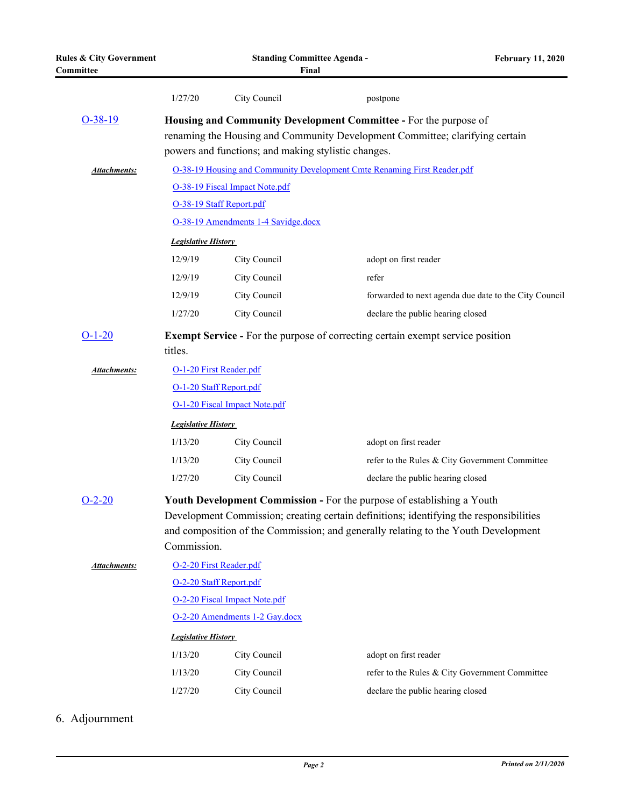| <b>Rules &amp; City Government</b><br>Committee | <b>Standing Committee Agenda -</b><br>Final                                                                                                                                                                                                                                  |              |                                   | <b>February 11, 2020</b>                              |  |  |
|-------------------------------------------------|------------------------------------------------------------------------------------------------------------------------------------------------------------------------------------------------------------------------------------------------------------------------------|--------------|-----------------------------------|-------------------------------------------------------|--|--|
|                                                 | 1/27/20                                                                                                                                                                                                                                                                      | City Council | postpone                          |                                                       |  |  |
| $O-38-19$                                       | Housing and Community Development Committee - For the purpose of<br>renaming the Housing and Community Development Committee; clarifying certain<br>powers and functions; and making stylistic changes.                                                                      |              |                                   |                                                       |  |  |
| Attachments:                                    | O-38-19 Housing and Community Development Cmte Renaming First Reader.pdf                                                                                                                                                                                                     |              |                                   |                                                       |  |  |
|                                                 | O-38-19 Fiscal Impact Note.pdf                                                                                                                                                                                                                                               |              |                                   |                                                       |  |  |
|                                                 | O-38-19 Staff Report.pdf                                                                                                                                                                                                                                                     |              |                                   |                                                       |  |  |
|                                                 | O-38-19 Amendments 1-4 Savidge.docx                                                                                                                                                                                                                                          |              |                                   |                                                       |  |  |
|                                                 | <b>Legislative History</b>                                                                                                                                                                                                                                                   |              |                                   |                                                       |  |  |
|                                                 | 12/9/19                                                                                                                                                                                                                                                                      | City Council | adopt on first reader             |                                                       |  |  |
|                                                 | 12/9/19                                                                                                                                                                                                                                                                      | City Council | refer                             |                                                       |  |  |
|                                                 | 12/9/19                                                                                                                                                                                                                                                                      | City Council |                                   | forwarded to next agenda due date to the City Council |  |  |
|                                                 | 1/27/20                                                                                                                                                                                                                                                                      | City Council | declare the public hearing closed |                                                       |  |  |
| $O-1-20$                                        | <b>Exempt Service - For the purpose of correcting certain exempt service position</b><br>titles.                                                                                                                                                                             |              |                                   |                                                       |  |  |
| Attachments:                                    | O-1-20 First Reader.pdf                                                                                                                                                                                                                                                      |              |                                   |                                                       |  |  |
|                                                 | O-1-20 Staff Report.pdf                                                                                                                                                                                                                                                      |              |                                   |                                                       |  |  |
|                                                 | O-1-20 Fiscal Impact Note.pdf                                                                                                                                                                                                                                                |              |                                   |                                                       |  |  |
|                                                 | <b>Legislative History</b>                                                                                                                                                                                                                                                   |              |                                   |                                                       |  |  |
|                                                 | 1/13/20                                                                                                                                                                                                                                                                      | City Council | adopt on first reader             |                                                       |  |  |
|                                                 | 1/13/20                                                                                                                                                                                                                                                                      | City Council |                                   | refer to the Rules & City Government Committee        |  |  |
|                                                 | 1/27/20                                                                                                                                                                                                                                                                      | City Council | declare the public hearing closed |                                                       |  |  |
| $O-2-20$                                        | <b>Youth Development Commission - For the purpose of establishing a Youth</b><br>Development Commission; creating certain definitions; identifying the responsibilities<br>and composition of the Commission; and generally relating to the Youth Development<br>Commission. |              |                                   |                                                       |  |  |
| Attachments:                                    | O-2-20 First Reader.pdf                                                                                                                                                                                                                                                      |              |                                   |                                                       |  |  |
|                                                 | O-2-20 Staff Report.pdf                                                                                                                                                                                                                                                      |              |                                   |                                                       |  |  |
|                                                 | O-2-20 Fiscal Impact Note.pdf                                                                                                                                                                                                                                                |              |                                   |                                                       |  |  |
|                                                 | O-2-20 Amendments 1-2 Gay.docx                                                                                                                                                                                                                                               |              |                                   |                                                       |  |  |
|                                                 | <b>Legislative History</b>                                                                                                                                                                                                                                                   |              |                                   |                                                       |  |  |
|                                                 | 1/13/20                                                                                                                                                                                                                                                                      | City Council | adopt on first reader             |                                                       |  |  |
|                                                 | 1/13/20                                                                                                                                                                                                                                                                      | City Council |                                   | refer to the Rules & City Government Committee        |  |  |
|                                                 | 1/27/20                                                                                                                                                                                                                                                                      | City Council | declare the public hearing closed |                                                       |  |  |

## 6. Adjournment